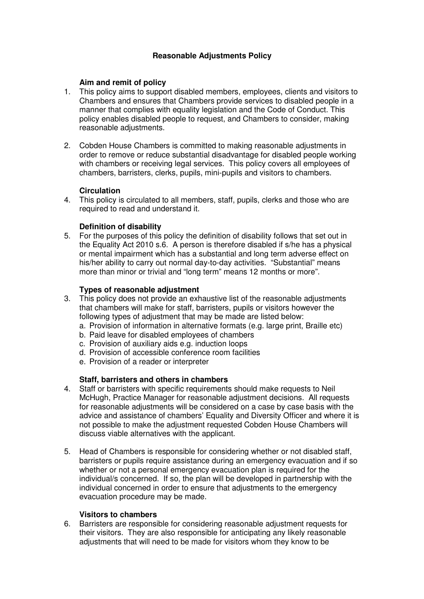# **Reasonable Adjustments Policy**

## **Aim and remit of policy**

- 1. This policy aims to support disabled members, employees, clients and visitors to Chambers and ensures that Chambers provide services to disabled people in a manner that complies with equality legislation and the Code of Conduct. This policy enables disabled people to request, and Chambers to consider, making reasonable adjustments.
- 2. Cobden House Chambers is committed to making reasonable adjustments in order to remove or reduce substantial disadvantage for disabled people working with chambers or receiving legal services. This policy covers all employees of chambers, barristers, clerks, pupils, mini-pupils and visitors to chambers.

## **Circulation**

4. This policy is circulated to all members, staff, pupils, clerks and those who are required to read and understand it.

## **Definition of disability**

5. For the purposes of this policy the definition of disability follows that set out in the Equality Act 2010 s.6. A person is therefore disabled if s/he has a physical or mental impairment which has a substantial and long term adverse effect on his/her ability to carry out normal day-to-day activities. "Substantial" means more than minor or trivial and "long term" means 12 months or more".

#### **Types of reasonable adjustment**

- 3. This policy does not provide an exhaustive list of the reasonable adjustments that chambers will make for staff, barristers, pupils or visitors however the following types of adjustment that may be made are listed below:
	- a. Provision of information in alternative formats (e.g. large print, Braille etc)
	- b. Paid leave for disabled employees of chambers
	- c. Provision of auxiliary aids e.g. induction loops
	- d. Provision of accessible conference room facilities
	- e. Provision of a reader or interpreter

## **Staff, barristers and others in chambers**

- 4. Staff or barristers with specific requirements should make requests to Neil McHugh, Practice Manager for reasonable adjustment decisions. All requests for reasonable adjustments will be considered on a case by case basis with the advice and assistance of chambers' Equality and Diversity Officer and where it is not possible to make the adjustment requested Cobden House Chambers will discuss viable alternatives with the applicant.
- 5. Head of Chambers is responsible for considering whether or not disabled staff, barristers or pupils require assistance during an emergency evacuation and if so whether or not a personal emergency evacuation plan is required for the individual/s concerned. If so, the plan will be developed in partnership with the individual concerned in order to ensure that adjustments to the emergency evacuation procedure may be made.

#### **Visitors to chambers**

6. Barristers are responsible for considering reasonable adjustment requests for their visitors. They are also responsible for anticipating any likely reasonable adjustments that will need to be made for visitors whom they know to be